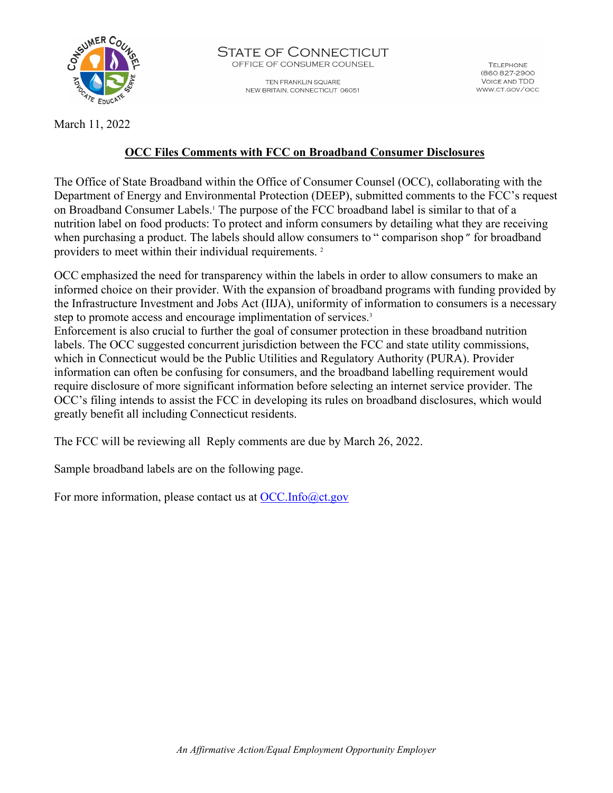

STATE OF CONNECTICUT OFFICE OF CONSUMER COUNSEL

> TEN FRANKLIN SQUARE NEW BRITAIN, CONNECTICUT 06051

**TEI FPHONE** (860 827-2900 **VOICE AND TDD** WWW.CT.GOV/OCC

March 11, 2022

## **OCC Files Comments with FCC on Broadband Consumer Disclosures**

The Office of State Broadband within the Office of Consumer Counsel (OCC), collaborating with the Department of Energy and Environmental Protection (DEEP), submitted comments to the FCC's request on Broadband Consumer Labels.1 The purpose of the FCC broadband label is similar to that of a nutrition label on food products: To protect and inform consumers by detailing what they are receiving when purchasing a product. The labels should allow consumers to "comparison shop" for broadband providers to meet within their individual requirements. 2

OCC emphasized the need for transparency within the labels in order to allow consumers to make an informed choice on their provider. With the expansion of broadband programs with funding provided by the Infrastructure Investment and Jobs Act (IIJA), uniformity of information to consumers is a necessary step to promote access and encourage implimentation of services.<sup>3</sup>

Enforcement is also crucial to further the goal of consumer protection in these broadband nutrition labels. The OCC suggested concurrent jurisdiction between the FCC and state utility commissions, which in Connecticut would be the Public Utilities and Regulatory Authority (PURA). Provider information can often be confusing for consumers, and the broadband labelling requirement would require disclosure of more significant information before selecting an internet service provider. The OCC's filing intends to assist the FCC in developing its rules on broadband disclosures, which would greatly benefit all including Connecticut residents.

The FCC will be reviewing all Reply comments are due by March 26, 2022.

Sample broadband labels are on the following page.

For more information, please contact us at [OCC.Info@ct.gov](mailto:OCC.Info@ct.gov)